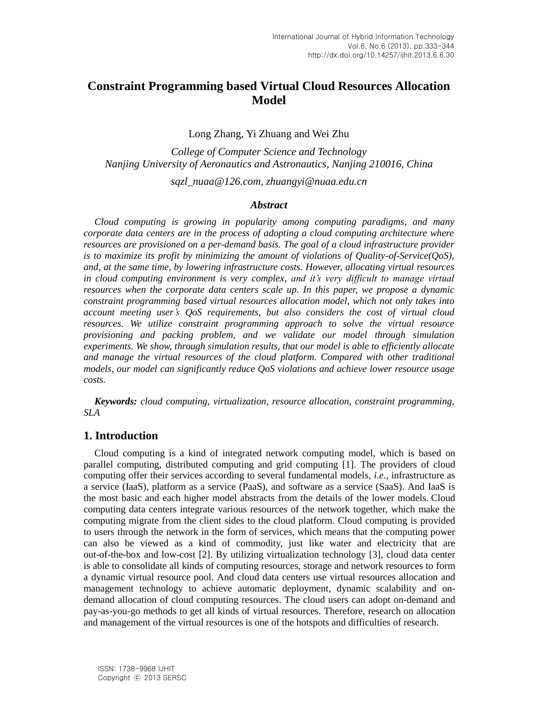# **Constraint Programming based Virtual Cloud Resources Allocation Model**

Long Zhang, Yi Zhuang and Wei Zhu

*College of Computer Science and Technology Nanjing University of Aeronautics and Astronautics, Nanjing 210016, China*

*sqzl\_nuaa@126.com, zhuangyi@nuaa.edu.cn*

### *Abstract*

*Cloud computing is growing in popularity among computing paradigms, and many corporate data centers are in the process of adopting a cloud computing architecture where resources are provisioned on a per-demand basis. The goal of a cloud infrastructure provider is to maximize its profit by minimizing the amount of violations of Quality-of-Service(QoS), and, at the same time, by lowering infrastructure costs. However, allocating virtual resources in cloud computing environment is very complex, and it's very difficult to manage virtual resources when the corporate data centers scale up. In this paper, we propose a dynamic constraint programming based virtual resources allocation model, which not only takes into account meeting user's QoS requirements, but also considers the cost of virtual cloud resources. We utilize constraint programming approach to solve the virtual resource provisioning and packing problem, and we validate our model through simulation experiments. We show, through simulation results, that our model is able to efficiently allocate and manage the virtual resources of the cloud platform. Compared with other traditional models, our model can significantly reduce QoS violations and achieve lower resource usage costs.*

*Keywords: cloud computing, virtualization, resource allocation, constraint programming, SLA*

# **1. Introduction**

Cloud computing is a kind of integrated network computing model, which is based on parallel computing, distributed computing and grid computing [1]. The providers of cloud computing offer their services according to several fundamental models, *i.e*., infrastructure as a service (IaaS), platform as a service (PaaS), and software as a service (SaaS). And IaaS is the most basic and each higher model abstracts from the details of the lower models. Cloud computing data centers integrate various resources of the network together, which make the computing migrate from the client sides to the cloud platform. Cloud computing is provided to users through the network in the form of services, which means that the computing power can also be viewed as a kind of commodity, just like water and electricity that are out-of-the-box and low-cost [2]. By utilizing virtualization technology [3], cloud data center is able to consolidate all kinds of computing resources, storage and network resources to form a dynamic virtual resource pool. And cloud data centers use virtual resources allocation and management technology to achieve automatic deployment, dynamic scalability and ondemand allocation of cloud computing resources. The cloud users can adopt on-demand and pay-as-you-go methods to get all kinds of virtual resources. Therefore, research on allocation and management of the virtual resources is one of the hotspots and difficulties of research.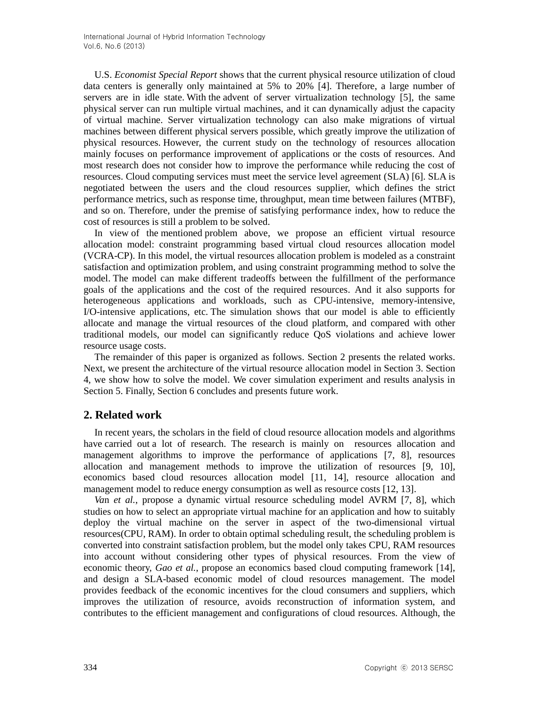U.S. *Economist Special Report* shows that the current physical resource utilization of cloud data centers is generally only maintained at 5% to 20% [4]. Therefore, a large number of servers are in idle state. With the advent of server virtualization technology [5], the same physical server can run multiple virtual machines, and it can dynamically adjust the capacity of virtual machine. Server virtualization technology can also make migrations of virtual machines between different physical servers possible, which greatly improve the utilization of physical resources. However, the current study on the technology of resources allocation mainly focuses on performance [improvement](http://dict.youdao.com/w/improvement/) of applications or the costs of resources. And most research does not consider how to improve the performance while reducing the cost of resources. Cloud computing services must meet the service level agreement (SLA) [6]. SLA is negotiated between the users and the cloud resources supplier, which defines the strict performance metrics, such as response time, throughput, [mean time between failures](http://en.wikipedia.org/wiki/MTBF) (MTBF), and so on. Therefore, under the premise of satisfying performance index, how to reduce the cost of resources is still a problem to be solved.

In view of the mentioned problem above, we propose an efficient virtual resource allocation model: constraint programming based virtual cloud resources allocation model (VCRA-CP). In this model, the virtual resources allocation problem is modeled as a constraint satisfaction and optimization problem, and using constraint programming method to solve the model. The model can make different tradeoffs between the fulfillment of the performance goals of the applications and the cost of the required resources. And it also supports for heterogeneous applications and workloads, such as CPU-intensive, memory-intensive, I/O-intensive applications, etc. The simulation shows that our model is able to efficiently allocate and manage the virtual resources of the cloud platform, and compared with other traditional models, our model can significantly reduce QoS violations and achieve lower resource usage costs.

The remainder of this paper is organized as follows. Section 2 presents the related works. Next, we present the architecture of the virtual resource allocation model in Section 3. Section 4, we show how to solve the model. We cover simulation experiment and results analysis in Section 5. Finally, Section 6 concludes and presents future work.

# **2. Related work**

In recent years, the scholars in the field of cloud resource allocation models and algorithms have carried out a lot of research. The research is mainly on resources allocation and management algorithms to improve the performance of applications [7, 8], resources allocation and management methods to improve the utilization of resources [9, 10], economics based cloud resources allocation model [11, 14], resource allocation and management model to reduce energy consumption as well as resource costs [12, 13].

*Va*n *et al.*, propose a dynamic virtual resource scheduling model AVRM [7, 8], which studies on how to select an appropriate virtual machine for an application and how to [suitably](http://dict.youdao.com/w/suitably/) deploy the virtual machine on the server in aspect of the two-dimensional virtual resources(CPU, RAM). In order to obtain optimal scheduling result, the scheduling problem is converted into constraint satisfaction problem, but the model only takes CPU, RAM resources into account without considering other types of physical resources. From the view of economic theory, *Gao et al.*, propose an economics based cloud computing framework [14], and design a SLA-based economic model of cloud resources management. The model provides feedback of the economic incentives for the cloud consumers and suppliers, which improves the utilization of resource, avoids reconstruction of information system, and contributes to the efficient management and configurations of cloud resources. Although, the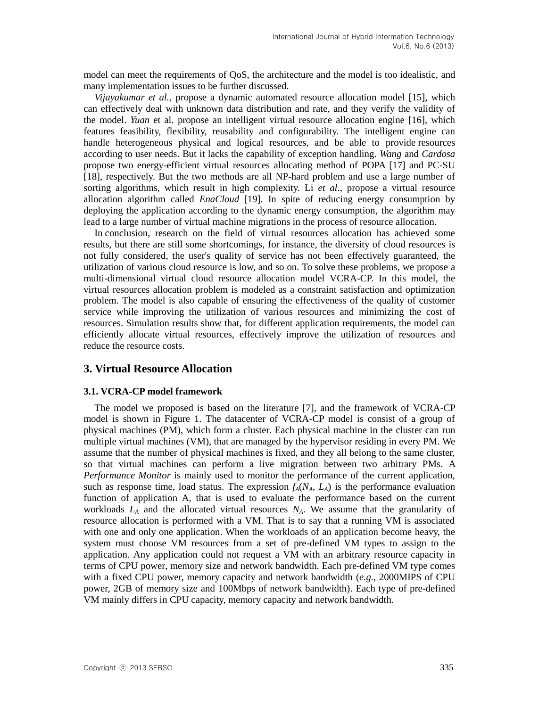model can meet the requirements of QoS, the architecture and the model is too idealistic, and many implementation issues to be further discussed.

*Vijayakumar et al.*, propose a dynamic automated resource allocation model [15], which can effectively deal with unknown data distribution and rate, and they verify the validity of the model. *Yuan* et al. propose an intelligent virtual resource allocation engine [16], which features feasibility, flexibility, reusability and configurability. The intelligent engine can handle heterogeneous physical and logical resources, and be able to provide resources according to user needs. But it lacks the capability of exception handling. *Wang* and *Cardosa* propose two energy-efficient virtual resources allocating method of POPA [17] and PC-SU [18], respectively. But the two methods are all NP-hard problem and use a large number of sorting algorithms, which result in high complexity. Li *et al*., propose a virtual resource allocation algorithm called *EnaCloud* [19]. In spite of reducing energy consumption by deploying the application according to the dynamic energy consumption, the algorithm may lead to a large number of virtual machine migrations in the process of resource allocation.

In conclusion, research on the field of virtual resources allocation has achieved some results, but there are still some shortcomings, for instance, the diversity of cloud resources is not fully considered, the user's quality of service has not been effectively guaranteed, the utilization of various cloud resource is low, and so on. To solve these problems, we propose a multi-dimensional virtual cloud resource allocation model VCRA-CP. In this model, the virtual resources allocation problem is modeled as a constraint satisfaction and optimization problem. The model is also capable of ensuring the effectiveness of the quality of customer service while improving the utilization of various resources and minimizing the cost of resources. Simulation results show that, for different application requirements, the model can efficiently allocate virtual resources, effectively improve the utilization of resources and reduce the resource costs.

## **3. Virtual Resource Allocation**

#### **3.1. VCRA-CP model framework**

The model we proposed is based on the literature [7], and the framework of VCRA-CP model is shown in Figure 1. The datacenter of VCRA-CP model is consist of a group of physical machines (PM), which form a cluster. Each physical machine in the cluster can run multiple virtual machines (VM), that are managed by the hypervisor residing in every PM. We assume that the number of physical machines is fixed, and they all belong to the same cluster, so that virtual machines can perform a live migration between two arbitrary PMs. A *Performance Monitor* is mainly used to monitor the performance of the current application, such as response time, load status. The expression  $f_A(N_A, L_A)$  is the performance evaluation function of application A, that is used to evaluate the performance based on the current workloads *L<sup>A</sup>* and the allocated virtual resources *NA*. We assume that the granularity of resource allocation is performed with a VM. That is to say that a running VM is associated with one and only one application. When the workloads of an application become heavy, the system must choose VM resources from a set of pre-defined VM types to assign to the application. Any application could not request a VM with an arbitrary resource capacity in terms of CPU power, memory size and network bandwidth. Each pre-defined VM type comes with a fixed CPU power, memory capacity and network bandwidth (*e.g.,* 2000MIPS of CPU power, 2GB of memory size and 100Mbps of network bandwidth). Each type of pre-defined VM mainly differs in CPU capacity, memory capacity and network bandwidth.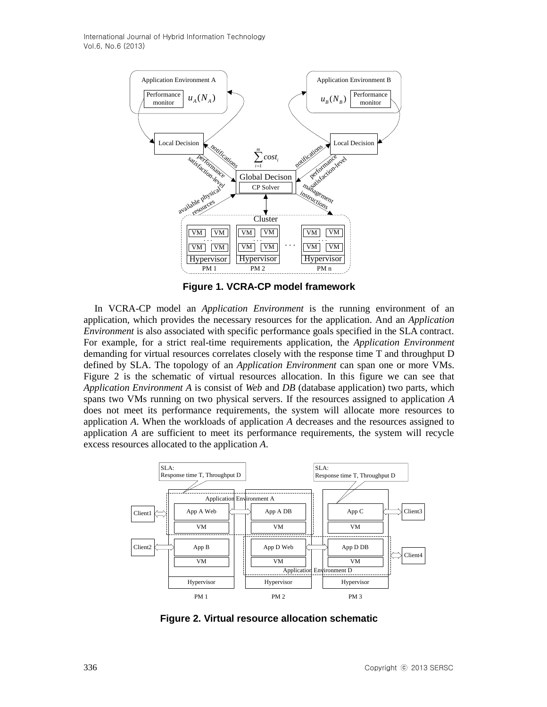International Journal of Hybrid Information Technology Vol.6, No.6 (2013)



**Figure 1. VCRA-CP model framework**

In VCRA-CP model an *Application Environment* is the running environment of an application, which provides the necessary resources for the application. And an *Application Environment* is also associated with specific performance goals specified in the SLA contract. For example, for a strict real-time requirements application, the *Application Environment* demanding for virtual resources correlates closely with the response time T and throughput D defined by SLA. The topology of an *Application Environment* can span one or more VMs. Figure 2 is the schematic of virtual resources allocation. In this figure we can see that *Application Environment A* is consist of *Web* and *DB* (database application) two parts, which spans two VMs running on two physical servers. If the resources assigned to application *A* does not meet its performance requirements, the system will allocate more resources to application *A*. When the workloads of application *A* decreases and the resources assigned to application *A* are sufficient to meet its performance requirements, the system will recycle excess resources allocated to the application *A*.



**Figure 2. Virtual resource allocation schematic**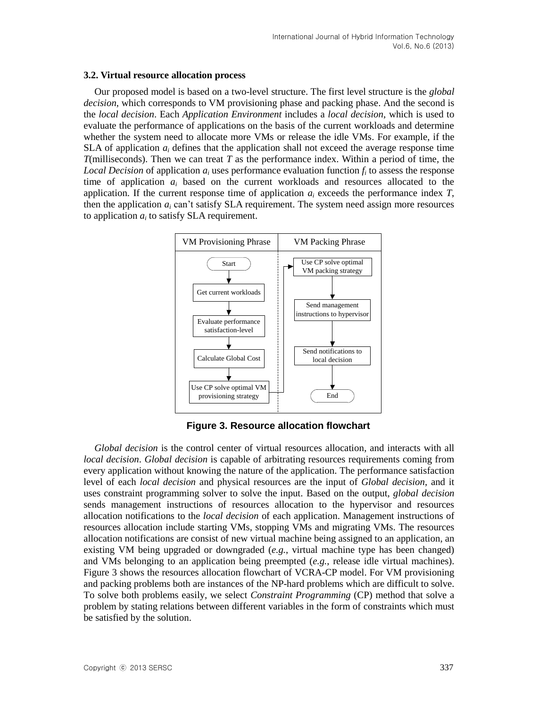### **3.2. Virtual resource allocation process**

Our proposed model is based on a two-level structure. The first level structure is the *global decision*, which corresponds to VM provisioning phase and packing phase. And the second is the *local decision*. Each *Application Environment* includes a *local decision*, which is used to evaluate the performance of applications on the basis of the current workloads and determine whether the system need to allocate more VMs or release the idle VMs. For example, if the SLA of application  $a_i$  defines that the application shall not exceed the average response time *T*(milliseconds). Then we can treat *T* as the performance index. Within a period of time, the *Local Decision* of application  $a_i$  uses performance evaluation function  $f_i$  to assess the response time of application *a<sup>i</sup>* based on the current workloads and resources allocated to the application. If the current response time of application  $a_i$  exceeds the performance index  $T$ , then the application  $a_i$  can't [satisfy](http://dict.youdao.com/w/satisfy/) SLA requirement. The system need assign more resources to application  $a_i$  to [satisfy](http://dict.youdao.com/w/satisfy/) SLA requirement.



**Figure 3. Resource allocation flowchart**

*Global decision* is the control center of virtual resources allocation, and interacts with all *local decision*. *Global decision* is capable of arbitrating resources requirements coming from every application without knowing the nature of the application. The performance satisfaction level of each *local decision* and physical resources are the input of *Global decision*, and it uses constraint programming solver to solve the input. Based on the output, *global decision* sends management instructions of resources allocation to the hypervisor and resources allocation notifications to the *local decision* of each application. Management instructions of resources allocation include starting VMs, stopping VMs and migrating VMs. The resources allocation notifications are consist of new virtual machine being assigned to an application, an existing VM being upgraded or downgraded (*e.g.*, virtual machine type has been changed) and VMs belonging to an application being preempted (*e.g.*, release idle virtual machines). Figure 3 shows the resources allocation flowchart of VCRA-CP model. For VM provisioning and packing problems both are instances of the NP-hard problems which are difficult to solve. To solve both problems easily, we select *Constraint Programming* (CP) method that solve a problem by stating relations between different variables in the form of constraints which must be satisfied by the solution.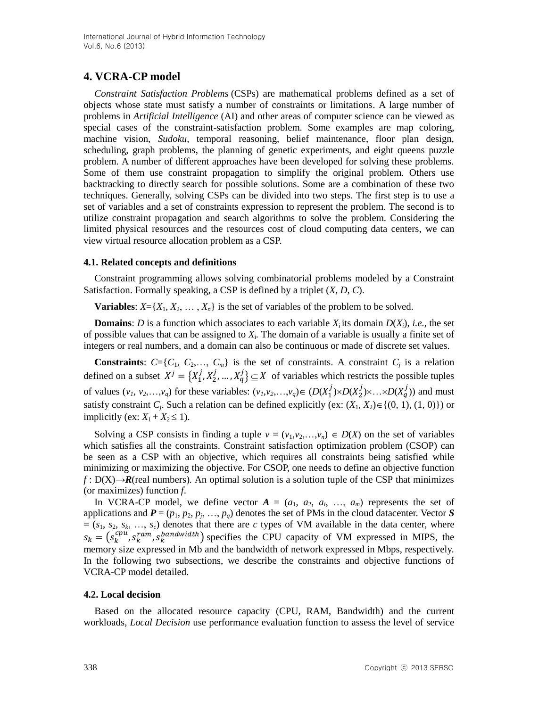# **4. VCRA-CP model**

*Constraint Satisfaction Problems* (CSPs) are mathematical problems defined as a set of objects whose state must satisfy a number of constraints or limitations. A large number of problems in *Artificial Intelligence* (AI) and other areas of computer science can be viewed as special cases of the constraint-satisfaction problem. Some examples are map coloring, machine vision, *Sudoku*, temporal reasoning, belief maintenance, floor plan design, scheduling, graph problems, the planning of genetic experiments, and [eight queens puzzle](http://en.wikipedia.org/wiki/Eight_queens_puzzle) problem. A number of different approaches have been developed for solving these problems. Some of them use constraint propagation to simplify the original problem. Others use backtracking to directly search for possible solutions. Some are a combination of these two techniques. Generally, solving CSPs can be divided into two steps. The first step is to use a set of variables and a set of constraints expression to represent the problem. The second is to utilize constraint propagation and search algorithms to solve the problem. Considering the limited physical resources and the resources cost of cloud computing data centers, we can view virtual resource allocation problem as a CSP.

### **4.1. Related concepts and definitions**

Constraint programming allows solving combinatorial problems modeled by a Constraint Satisfaction. Formally speaking, a CSP is defined by a triplet (*X*, *D*, *C*).

**Variables:**  $X = \{X_1, X_2, \ldots, X_n\}$  is the set of variables of the problem to be solved.

**Domains**: *D* is a function which associates to each variable *X*<sub>i</sub> its domain  $D(X_i)$ , *i.e.*, the set of possible values that can be assigned to  $X_i$ . The domain of a variable is usually a finite set of integers or real numbers, and a domain can also be continuous or made of discrete set values.

**Constraints**:  $C = \{C_1, C_2, \ldots, C_m\}$  is the set of constraints. A constraint  $C_j$  is a relation defined on a subset  $X^j = \{X_1^j, X_2^j, ..., X_a^j\} \subseteq X$  of variables which restricts the possible tuples of values  $(v_1, v_2,...,v_q)$  for these variables:  $(v_1, v_2,...,v_q) \in (D(X_1^j) \times D(X_2^j) \times ... \times D(X_q^j))$  and must satisfy constraint *C<sub>j</sub>*. Such a relation can be defined explicitly (ex:  $(X_1, X_2) \in \{(0, 1), (1, 0)\}\)$  or implicitly (ex:  $X_1 + X_2 \le 1$ ).

Solving a CSP consists in finding a tuple  $v = (v_1, v_2, \ldots, v_n) \in D(X)$  on the set of variables which satisfies all the constraints. Constraint satisfaction optimization problem (CSOP) can be seen as a CSP with an objective, which requires all constraints being satisfied while minimizing or maximizing the objective. For CSOP, one needs to define an objective function *f* : D(X)→*R*(real numbers). An optimal solution is a solution tuple of the CSP that minimizes (or maximizes) function *f*.

In VCRA-CP model, we define vector  $A = (a_1, a_2, a_i, \ldots, a_m)$  represents the set of applications and  $P = (p_1, p_2, p_j, ..., p_q)$  denotes the set of PMs in the cloud datacenter. Vector *S*  $=(s_1, s_2, s_k, \ldots, s_c)$  denotes that there are *c* types of VM available in the data center, where  $s_k = (s_k^{cpu}, s_k^{ram}, s_k^{bandwidth})$  specifies the CPU capacity of VM expressed in MIPS, the memory size expressed in Mb and the bandwidth of network expressed in Mbps, respectively. In the following two subsections, we describe the constraints and objective functions of VCRA-CP model [detailed.](http://dict.youdao.com/w/detailedly/)

## **4.2. Local decision**

Based on the allocated resource capacity (CPU, RAM, Bandwidth) and the current workloads, *Local Decision* use performance evaluation function to assess the level of service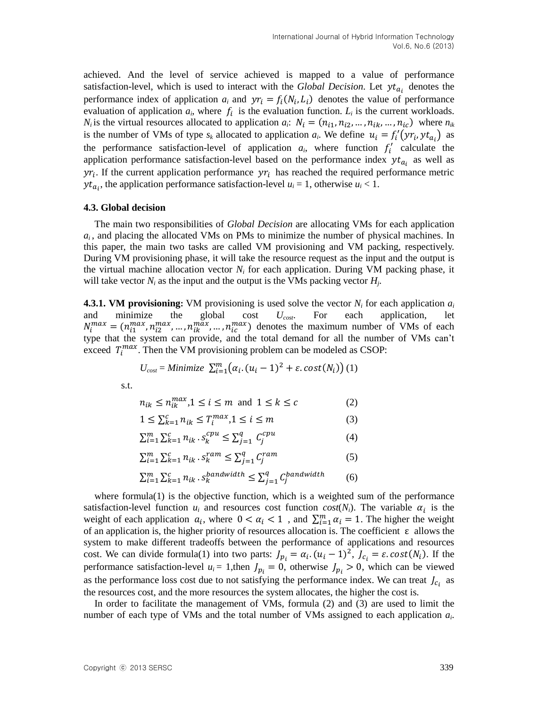achieved. And the level of service achieved is mapped to a value of performance satisfaction-level, which is used to interact with the *Global Decision*. Let  $y t_{a_i}$  denotes the performance index of application  $a_i$  and  $y r_i = f_i(N_i, L_i)$  denotes the value of performance evaluation of application  $a_i$ , where  $f_i$  is the evaluation function.  $L_i$  is the current workloads. *N<sub>i</sub>* is the virtual resources allocated to application  $a_i$ :  $N_i = (n_{i1}, n_{i2}, ..., n_{ik}, ..., n_{ic})$  where  $n_{ik}$ is the number of VMs of type  $s_k$  allocated to application  $a_i$ . We define  $u_i = f'_i(yr_i, yt_{a_i})$  as the performance satisfaction-level of application  $a_i$ , where function  $f'_i$  calculate the application performance satisfaction-level based on the performance index  $y t_{a_i}$  as well as  $\gamma r_i$ . If the current application performance  $\gamma r_i$  has reached the required performance metric  $y_t$ <sub> $a_i$ </sub>, the application performance satisfaction-level  $u_i = 1$ , otherwise  $u_i < 1$ .

#### **4.3. Global decision**

The main two responsibilities of *Global Decision* are allocating VMs for each application *ai* , and placing the allocated VMs on PMs to minimize the number of physical machines. In this paper, the main two tasks are called VM provisioning and VM packing, respectively. During VM provisioning phase, it will take the resource request as the input and the output is the virtual machine allocation vector  $N_i$  for each application. During VM packing phase, it will take vector  $N_i$  as the input and the output is the VMs packing vector  $H_j$ .

**4.3.1. VM provisioning:** VM provisioning is used solve the vector *N<sup>i</sup>* for each application *a<sup>i</sup>* and minimize the global cost *Ucost*. For each application, let  $N_i^{max} = (n_{i1}^{max}, n_{i2}^{max}, ..., n_{ik}^{max}, ..., n_{ic}^{max})$  denotes the maximum number of VMs of each type that the system can provide, and the total demand for all the number of VMs can't exceed  $T_i^{max}$ . Then the VM provisioning problem can be modeled as CSOP:

$$
U_{cost} = \text{Minimize } \sum_{i=1}^{m} (\alpha_i \cdot (u_i - 1)^2 + \varepsilon \cdot \text{cost}(N_i))
$$
 (1)

s.t.

$$
n_{ik} \le n_{ik}^{max}, 1 \le i \le m \text{ and } 1 \le k \le c \tag{2}
$$

$$
1 \le \sum_{k=1}^{c} n_{ik} \le T_i^{max}, 1 \le i \le m \tag{3}
$$

$$
\sum_{i=1}^{m} \sum_{k=1}^{c} n_{ik} \cdot s_k^{cpu} \le \sum_{j=1}^{q} C_j^{cpu} \tag{4}
$$

$$
\sum_{i=1}^{m} \sum_{k=1}^{c} n_{ik} \cdot s_k^{ram} \le \sum_{j=1}^{q} C_j^{ram}
$$
 (5)

$$
\sum_{i=1}^{m} \sum_{k=1}^{c} n_{ik} \cdot s_k^{bandwidth} \le \sum_{j=1}^{q} C_j^{bandwidth} \tag{6}
$$

where formula(1) is the objective function, which is a weighted sum of the performance satisfaction-level function  $u_i$  and resources cost function  $cost(N_i)$ . The variable  $\alpha_i$  is the weight of each application  $a_i$ , where  $0 < a_i < 1$ , and  $\sum_{i=1}^{m} a_i = 1$ . The higher the weight of an application is, the higher priority of resources allocation is. The coefficient  $\varepsilon$  allows the system to make different tradeoffs between the performance of applications and resources cost. We can divide formula(1) into two parts:  $J_{p_i} = \alpha_i (u_i - 1)^2$ ,  $J_{c_i} = \varepsilon \cdot \text{cost}(N_i)$ . If the performance satisfaction-level  $u_i = 1$ , then  $J_{p_i} = 0$ , otherwise  $J_{p_i} > 0$ , which can be viewed as the performance loss cost due to not satisfying the performance index. We can treat  $J_{c_i}$  as the resources cost, and the more resources the system allocates, the higher the cost is.

In order to facilitate the management of VMs, formula (2) and (3) are used to limit the number of each type of VMs and the total number of VMs assigned to each application *a<sup>i</sup>* .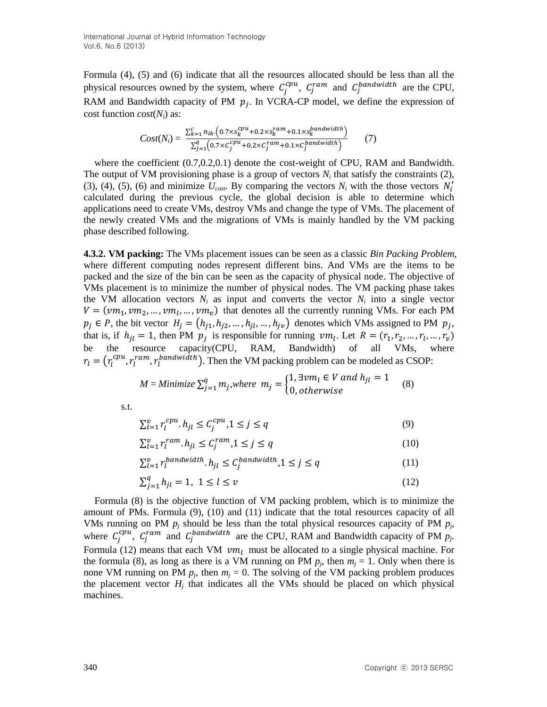Formula (4), (5) and (6) indicate that all the resources allocated should be less than all the physical resources owned by the system, where  $C_j^{cpu}$ ,  $C_j^{ram}$  and  $C_j^{bandwidth}$  are the CPU, RAM and Bandwidth capacity of PM  $p_j$ . In VCRA-CP model, we define the expression of cost function *cost*(*Ni*) as:

$$
Cost(N_i) = \frac{\sum_{k=1}^{c} n_{ik} \cdot (0.7 \times s_k^{cpu} + 0.2 \times s_k^{ram} + 0.1 \times s_k^{bandwidth})}{\sum_{j=1}^{q} (0.7 \times c_j^{cpu} + 0.2 \times c_j^{ram} + 0.1 \times c_j^{bandwidth})}
$$
(7)

where the coefficient  $(0.7, 0.2, 0.1)$  denote the cost-weight of CPU, RAM and Bandwidth. The output of VM provisioning phase is a group of vectors  $N_i$  that satisfy the constraints (2), (3), (4), (5), (6) and minimize  $U_{\text{cost}}$ . By comparing the vectors  $N_i$  with the those vectors  $N'_i$ calculated during the previous cycle, the global decision is able to determine which applications need to create VMs, destroy VMs and change the type of VMs. The placement of the newly created VMs and the migrations of VMs is mainly handled by the VM packing phase described following.

**4.3.2. VM packing:** The VMs placement issues can be seen as a classic *Bin Packing Problem*, where different computing nodes represent different bins. And VMs are the items to be packed and the size of the bin can be seen as the capacity of physical node. The objective of VMs placement is to minimize the number of physical nodes. The VM packing phase takes the VM allocation vectors  $N_i$  as input and converts the vector  $N_i$  into a single vector  $V = (vm_1, vw_2, ..., vw_l, ..., vw_v)$  that denotes all the currently running VMs. For each PM  $p_j \in P$ , the bit vector  $H_j = (h_{j1}, h_{j2}, ..., h_{jl}, ..., h_{j\nu})$  denotes which VMs assigned to PM  $p_j$ , that is, if  $h_{jl} = 1$ , then PM  $p_j$  is responsible for running  $vm_l$ . Let  $R = (r_1, r_2, ..., r_l, ..., r_v)$ be the resource capacity(CPU, RAM, Bandwidth) of all VMs, where  $r_l = (r_l^{cpu}, r_l^{ram}, r_l^{bandwidth})$ . Then the VM packing problem can be modeled as CSOP:

$$
M = \text{Minimize } \sum_{j=1}^{q} m_j, \text{where } m_j = \begin{cases} 1, \exists \text{vm}_l \in V \text{ and } h_{jl} = 1\\ 0, \text{otherwise} \end{cases} \tag{8}
$$

s.t.

$$
\sum_{l=1}^{v} r_l^{cpu} h_{jl} \le C_j^{cpu}, 1 \le j \le q
$$
\n<sup>(9)</sup>

$$
\sum_{l=1}^{v} r_l^{ram} . h_{jl} \le C_j^{ram} , 1 \le j \le q
$$
\n<sup>(10)</sup>

$$
\sum_{l=1}^{v} r_l^{bandwidth} \cdot h_{jl} \le C_j^{bandwidth} \cdot 1 \le j \le q \tag{11}
$$

$$
\sum_{j=1}^{q} h_{jl} = 1, \ 1 \le l \le v \tag{12}
$$

Formula (8) is the objective function of VM packing problem, which is to minimize the amount of PMs. Formula (9), (10) and (11) indicate that the total resources capacity of all VMs running on PM  $p_j$  should be less than the total physical resources capacity of PM  $p_j$ , where  $C_j^{cpu}$ ,  $C_j^{ram}$  and  $C_j^{bandwidth}$  are the CPU, RAM and Bandwidth capacity of PM  $p_j$ . Formula (12) means that each VM  $vm_1$  must be allocated to a single physical machine. For the formula (8), as long as there is a VM running on PM  $p_j$ , then  $m_j = 1$ . Only when there is none VM running on PM  $p_j$ , then  $m_j = 0$ . The solving of the VM packing problem produces the placement vector  $H_j$  that indicates all the VMs should be placed on which physical machines.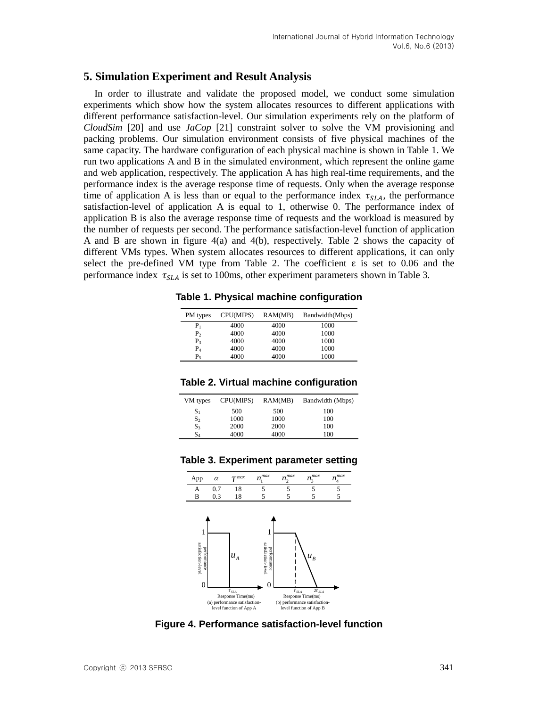## **5. Simulation Experiment and Result Analysis**

In order to illustrate and validate the proposed model, we conduct some simulation experiments which show how the system allocates resources to different applications with different performance satisfaction-level. Our simulation experiments rely on the platform of *CloudSim* [20] and use *JaCop* [21] constraint solver to solve the VM provisioning and packing problems. Our simulation environment consists of five physical machines of the same capacity. The hardware configuration of each physical machine is shown in Table 1. We run two applications A and B in the simulated environment, which represent the online game and web application, respectively. The application A has high real-time requirements, and the performance index is the average response time of requests. Only when the average response time of application A is less than or equal to the performance index  $\tau_{SLA}$ , the performance satisfaction-level of application A is equal to 1, otherwise 0. The performance index of application B is also the average response time of requests and the workload is measured by the number of requests per second. The performance satisfaction-level function of application A and B are shown in figure 4(a) and 4(b), respectively. Table 2 shows the capacity of different VMs types. When system allocates resources to different applications, it can only select the pre-defined VM type from Table 2. The coefficient  $\varepsilon$  is set to 0.06 and the performance index  $\tau_{SLA}$  is set to 100ms, other experiment parameters shown in Table 3.

**Table 1. Physical machine configuration**

| PM types       | CPU(MIPS) | RAM(MB) | Bandwidth(Mbps) |
|----------------|-----------|---------|-----------------|
| $P_1$          | 4000      | 4000    | 1000            |
| P <sub>2</sub> | 4000      | 4000    | 1000            |
| $P_{3}$        | 4000      | 4000    | 1000            |
| $P_4$          | 4000      | 4000    | 1000            |
| P,             | 4000      | 4000    | 1000            |

### **Table 2. Virtual machine configuration**

| VM types       | CPU(MIPS) | RAM(MB) | Bandwidth (Mbps) |
|----------------|-----------|---------|------------------|
| $S_1$          | 500       | 500     | 100              |
| S <sub>2</sub> | 1000      | 1000    | 100              |
| $S_3$          | 2000      | 2000    | 100              |
| S4             | 4000      | 4000    | 100              |

#### **Table 3. Experiment parameter setting**



**Figure 4. Performance satisfaction-level function**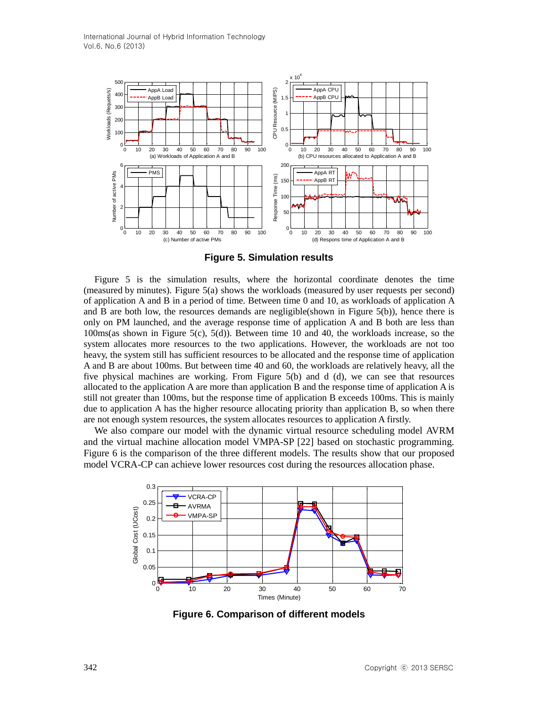

**Figure 5. Simulation results**

Figure 5 is the simulation results, where the horizontal coordinate denotes the time (measured by minutes). Figure 5(a) shows the workloads (measured by user requests per second) of application A and B in a period of time. Between time 0 and 10, as workloads of application A and B are both low, the resources demands are negligible(shown in Figure 5(b)), hence there is only on PM launched, and the average response time of application A and B both are less than 100ms(as shown in Figure 5(c), 5(d)). Between time 10 and 40, the workloads increase, so the system allocates more resources to the two applications. However, the workloads are not too heavy, the system still has sufficient resources to be allocated and the response time of application A and B are about 100ms. But between time 40 and 60, the workloads are relatively heavy, all the five physical machines are working. From Figure 5(b) and d (d), we can see that resources allocated to the application A are more than application B and the response time of application A is still not greater than 100ms, but the response time of application B exceeds 100ms. This is mainly due to application A has the higher resource allocating priority than application B, so when there are not enough system resources, the system allocates resources to application A firstly.

We also compare our model with the dynamic virtual resource scheduling model AVRM and the virtual machine allocation model VMPA-SP [22] based on stochastic programming. Figure 6 is the comparison of the three different models. The results show that our proposed model VCRA-CP can achieve lower resources cost during the resources allocation phase.



**Figure 6. Comparison of different models**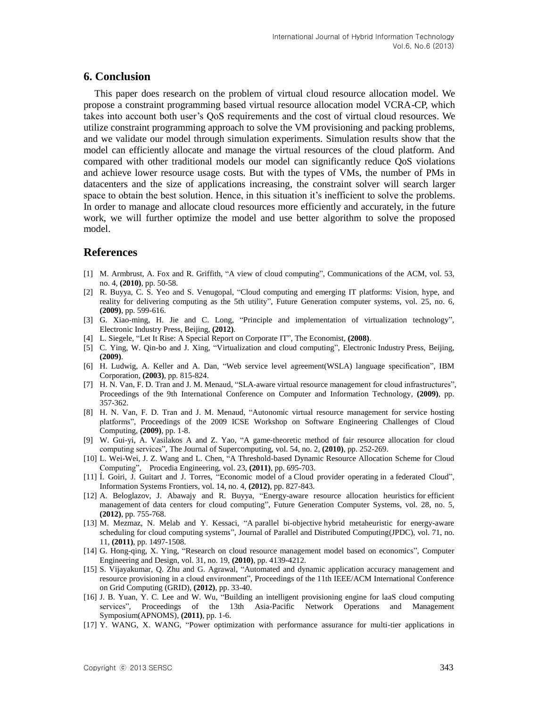### **6. Conclusion**

This paper does research on the problem of virtual cloud resource allocation model. We propose a constraint programming based virtual resource allocation model VCRA-CP, which takes into account both user's QoS requirements and the cost of virtual cloud resources. We utilize constraint programming approach to solve the VM provisioning and packing problems, and we validate our model through simulation experiments. Simulation results show that the model can efficiently allocate and manage the virtual resources of the cloud platform. And compared with other traditional models our model can significantly reduce QoS violations and achieve lower resource usage costs. But with the types of VMs, the number of PMs in datacenters and the size of applications increasing, the constraint solver will search larger space to obtain the best solution. Hence, in this situation it's inefficient to solve the problems. In order to manage and allocate cloud resources more efficiently and [accurately,](http://dict.youdao.com/w/accurately/) in the future work, we will further optimize the model and use better algorithm to solve the proposed model.

## **References**

- [1] M. Armbrust, A. Fox and R. Griffith, "A view of cloud computing", Communications of the ACM, vol. 53, no. 4, **(2010)**, pp. 50-58.
- [2] R. Buyya, C. S. Yeo and S. Venugopal, "Cloud computing and emerging IT platforms: Vision, hype, and reality for delivering computing as the 5th utility", Future Generation computer systems, vol. 25, no. 6, **(2009)**, pp. 599-616.
- [3] G. Xiao-ming, H. Jie and C. Long, "Principle and implementation of virtualization technology", [Electronic](http://dict.youdao.com/w/electronic/) [Industry](http://dict.youdao.com/w/industry/) [Press,](http://dict.youdao.com/w/press/) Beijing, **(2012)**.
- [4] L. Siegele, "Let It Rise: A Special Report on Corporate IT", The Economist, **(2008)**.
- [5] C. Ying, W. Qin-bo and J. Xing, "Virtualization and cloud computing", [Electronic](http://dict.youdao.com/w/electronic/) [Industry](http://dict.youdao.com/w/industry/) [Press,](http://dict.youdao.com/w/press/) Beijing, **(2009)**.
- [6] H. Ludwig, A. Keller and A. Dan, "Web service level agreement(WSLA) language specification", IBM Corporation, **(2003)**, pp. 815-824.
- [7] H. N. Van, F. D. Tran and J. M. Menaud, "SLA-aware virtual resource management for cloud infrastructures", Proceedings of the 9th International Conference on Computer and Information Technology, **(2009)**, pp. 357-362.
- [8] H. N. Van, F. D. Tran and J. M. Menaud, "Autonomic virtual resource management for service hosting platforms", Proceedings of the 2009 ICSE Workshop on Software Engineering Challenges of Cloud Computing, **(2009)**, pp. 1-8.
- [9] W. Gui-yi, A. Vasilakos A and Z. Yao, "A game-theoretic method of fair resource allocation for cloud computing services", The Journal of Supercomputing, vol. 54, no. 2, **(2010)**, pp. 252-269.
- [10] L. Wei-Wei, J. Z. Wang and L. Chen, "A Threshold-based Dynamic Resource Allocation Scheme for Cloud Computing", Procedia Engineering, vol. 23, **(2011)**, pp. 695-703.
- [11] Í. Goiri, J. Guitart and J. Torres, "Economic model of a [Cloud provider operating](http://link.springer.com/article/10.1007/s10796-011-9325-x) in a federated Cloud", Information Systems Frontiers, vol. 14, no. 4, **(2012)**, pp. 827-843.
- [12] A. Beloglazov, J. Abawajy and R. Buyya, ["Energy-aware resource allocation heuristics](http://www.sciencedirect.com/science/article/pii/S0167739X11000689) for efficient management [of data centers for cloud computing"](http://www.sciencedirect.com/science/article/pii/S0167739X11000689), Future Generation Computer Systems, vol. 28, no. 5, **(2012)**, pp. 755-768.
- [13] M. Mezmaz, N. Melab and Y. Kessaci, "A parallel bi-objective [hybrid metaheuristic for energy-aware](http://www.sciencedirect.com/science/article/pii/S0743731511000827)  [scheduling for cloud computing systems"](http://www.sciencedirect.com/science/article/pii/S0743731511000827), [Journal of Parallel and Distributed Computing\(](http://www.sciencedirect.com/science/journal/07437315)JPDC), vol. 71, no. 11, **(2011)**, pp. 1497-1508.
- [14] G. Hong-qing, X. Ying, "Research on cloud resource management model based on economics", Computer Engineering and Design, vol. 31, no. 19, **(2010)**, pp. 4139-4212.
- [15] S. Vijayakumar, Q. Zhu and G. Agrawal, "Automated and dynamic application accuracy management and resource provisioning in a cloud environment", Proceedings of the 11th IEEE/ACM International Conference on Grid Computing (GRID), **(2012)**, pp. 33-40.
- [16] J. B. Yuan, Y. C. Lee and W. Wu, "Building an intelligent provisioning engine for laaS cloud computing services", Proceedings of the 13th Asia-Pacific Network Operations and Management Symposium(APNOMS), **(2011)**, pp. 1-6.
- [17] Y. WANG, X. WANG, "Power optimization with performance assurance for multi-tier applications in